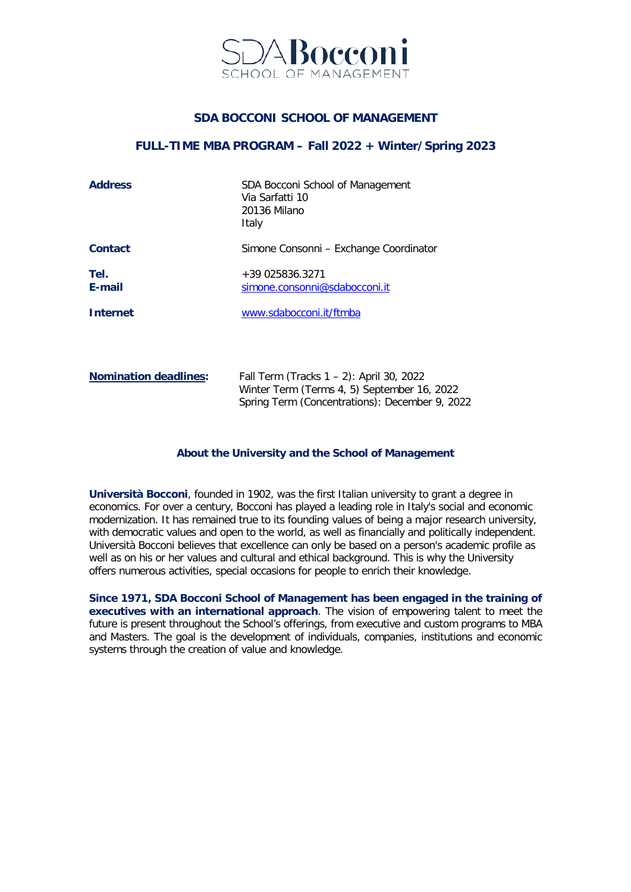

## **SDA BOCCONI SCHOOL OF MANAGEMENT**

#### **FULL-TIME MBA PROGRAM – Fall 2022 + Winter/Spring 2023**

| <b>Address</b>               | SDA Bocconi School of Management<br>Via Sarfatti 10<br>20136 Milano<br>Italy                                                              |
|------------------------------|-------------------------------------------------------------------------------------------------------------------------------------------|
| <b>Contact</b>               | Simone Consonni – Exchange Coordinator                                                                                                    |
| Tel.<br>E-mail               | +39 025836.3271<br>simone.consonni@sdabocconi.it                                                                                          |
| <b>Internet</b>              | www.sdabocconi.it/ftmba                                                                                                                   |
|                              |                                                                                                                                           |
| <b>Nomination deadlines:</b> | Fall Term (Tracks 1 - 2): April 30, 2022<br>Winter Term (Terms 4, 5) September 16, 2022<br>Spring Term (Concentrations): December 9, 2022 |

#### **About the University and the School of Management**

**Università Bocconi**, founded in 1902, was the first Italian university to grant a degree in economics. For over a century, Bocconi has played a leading role in Italy's social and economic modernization. It has remained true to its founding values of being a major research university, with democratic values and open to the world, as well as financially and politically independent. Università Bocconi believes that excellence can only be based on a person's academic profile as well as on his or her values and cultural and ethical background. This is why the University offers numerous activities, special occasions for people to enrich their knowledge.

**Since 1971, SDA Bocconi School of Management has been engaged in the training of executives with an international approach**. The vision of empowering talent to meet the future is present throughout the School's offerings, from executive and custom programs to MBA and Masters. The goal is the development of individuals, companies, institutions and economic systems through the creation of value and knowledge.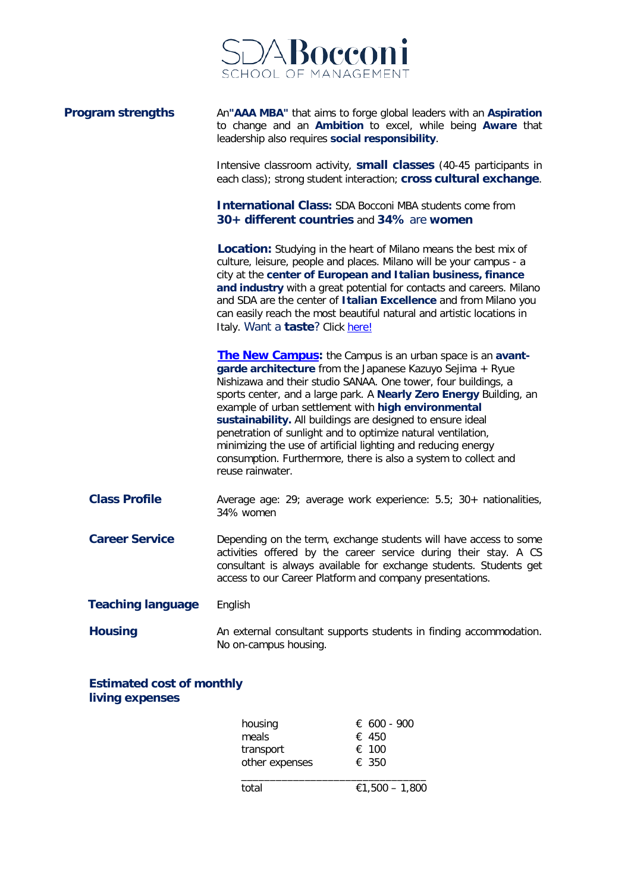

| <b>Program strengths</b> | An"AAA MBA" that aims to forge global leaders with an Aspiration<br>to change and an Ambition to excel, while being Aware that<br>leadership also requires social responsibility.                                                                                                                                                                                                                                                                                                                                                                                                                                  |
|--------------------------|--------------------------------------------------------------------------------------------------------------------------------------------------------------------------------------------------------------------------------------------------------------------------------------------------------------------------------------------------------------------------------------------------------------------------------------------------------------------------------------------------------------------------------------------------------------------------------------------------------------------|
|                          | Intensive classroom activity, small classes (40-45 participants in<br>each class); strong student interaction; cross cultural exchange.                                                                                                                                                                                                                                                                                                                                                                                                                                                                            |
|                          | <b>International Class: SDA Bocconi MBA students come from</b><br>30+ different countries and 34% are women                                                                                                                                                                                                                                                                                                                                                                                                                                                                                                        |
|                          | <b>Location:</b> Studying in the heart of Milano means the best mix of<br>culture, leisure, people and places. Milano will be your campus - a<br>city at the center of European and Italian business, finance<br>and industry with a great potential for contacts and careers. Milano<br>and SDA are the center of Italian Excellence and from Milano you<br>can easily reach the most beautiful natural and artistic locations in<br>Italy. Want a taste? Click here!                                                                                                                                             |
|                          | <b>The New Campus:</b> the Campus is an urban space is an avant-<br>garde architecture from the Japanese Kazuyo Sejima + Ryue<br>Nishizawa and their studio SANAA. One tower, four buildings, a<br>sports center, and a large park. A Nearly Zero Energy Building, an<br>example of urban settlement with high environmental<br>sustainability. All buildings are designed to ensure ideal<br>penetration of sunlight and to optimize natural ventilation,<br>minimizing the use of artificial lighting and reducing energy<br>consumption. Furthermore, there is also a system to collect and<br>reuse rainwater. |
| <b>Class Profile</b>     | Average age: 29; average work experience: 5.5; 30+ nationalities,<br>34% women                                                                                                                                                                                                                                                                                                                                                                                                                                                                                                                                     |
| <b>Career Service</b>    | Depending on the term, exchange students will have access to some<br>activities offered by the career service during their stay. A CS<br>consultant is always available for exchange students. Students get<br>access to our Career Platform and company presentations.                                                                                                                                                                                                                                                                                                                                            |
| <b>Teaching language</b> | English                                                                                                                                                                                                                                                                                                                                                                                                                                                                                                                                                                                                            |
| <b>Housing</b>           | An external consultant supports students in finding accommodation.<br>No on-campus housing.                                                                                                                                                                                                                                                                                                                                                                                                                                                                                                                        |

**Estimated cost of monthly living expenses**

| housing        | € 600 - 900    |
|----------------|----------------|
| meals          | $\epsilon$ 450 |
| transport      | $\epsilon$ 100 |
| other expenses | $\epsilon$ 350 |
| total          | €1,500 - 1,800 |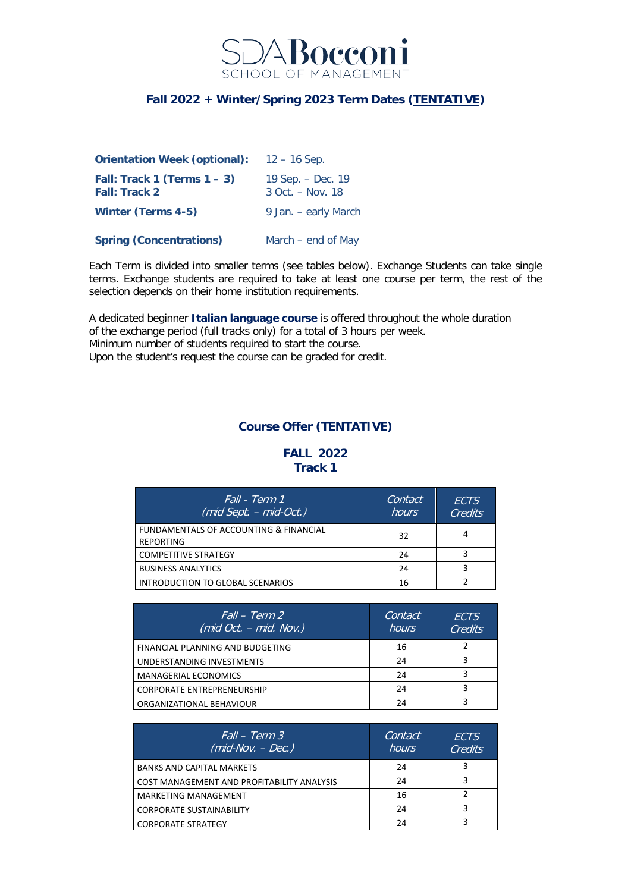

# **Fall 2022 + Winter/Spring 2023 Term Dates (TENTATIVE)**

| <b>Orientation Week (optional):</b>                    | $12 - 16$ Sep.                            |
|--------------------------------------------------------|-------------------------------------------|
| Fall: Track 1 (Terms $1 - 3$ )<br><b>Fall: Track 2</b> | 19 Sep. – Dec. 19<br>$3$ Oct. $-$ Nov. 18 |
| <b>Winter (Terms 4-5)</b>                              | 9 Jan. – early March                      |
| <b>Spring (Concentrations)</b>                         | March $-$ end of May                      |

Each Term is divided into smaller terms (see tables below). Exchange Students can take single terms. Exchange students are required to take at least one course per term, the rest of the selection depends on their home institution requirements.

A dedicated beginner **Italian language course** is offered throughout the whole duration of the exchange period (full tracks only) for a total of 3 hours per week. Minimum number of students required to start the course. Upon the student's request the course can be graded for credit.

## **Course Offer (TENTATIVE)**

#### **FALL 2022 Track 1**

| Fall - Term 1<br>$(mid Sept. - mid-Oct.)$                  | Contact<br>hours | <b>FCTS</b><br><b>Credits</b> |
|------------------------------------------------------------|------------------|-------------------------------|
| FUNDAMENTALS OF ACCOUNTING & FINANCIAL<br><b>REPORTING</b> | 32               |                               |
| <b>COMPETITIVE STRATEGY</b>                                | 24               |                               |
| <b>BUSINESS ANALYTICS</b>                                  | 24               |                               |
| INTRODUCTION TO GLOBAL SCENARIOS                           | 16               |                               |

| Fall – Term 2'<br>(mid $\overline{Oct.}$ – mid. $\overline{Nov.}$ ) | Contact<br>hours | ECTS<br>Credits |
|---------------------------------------------------------------------|------------------|-----------------|
| FINANCIAL PLANNING AND BUDGETING                                    | 16               |                 |
| UNDERSTANDING INVESTMENTS                                           | 24               |                 |
| <b>MANAGERIAL ECONOMICS</b>                                         | 24               |                 |
| <b>CORPORATE ENTREPRENEURSHIP</b>                                   | 24               |                 |
| ORGANIZATIONAL BEHAVIOUR                                            | 24               |                 |

| Fall – Term 3<br>$(mid-Nov. - Dec.)$       | Contact<br>hours | <i>FCTS</i><br>Credits |
|--------------------------------------------|------------------|------------------------|
| <b>BANKS AND CAPITAL MARKETS</b>           | 24               |                        |
| COST MANAGEMENT AND PROFITABILITY ANALYSIS | 24               |                        |
| <b>MARKETING MANAGEMENT</b>                | 16               |                        |
| <b>CORPORATE SUSTAINABILITY</b>            | 24               |                        |
| <b>CORPORATE STRATEGY</b>                  | 24               |                        |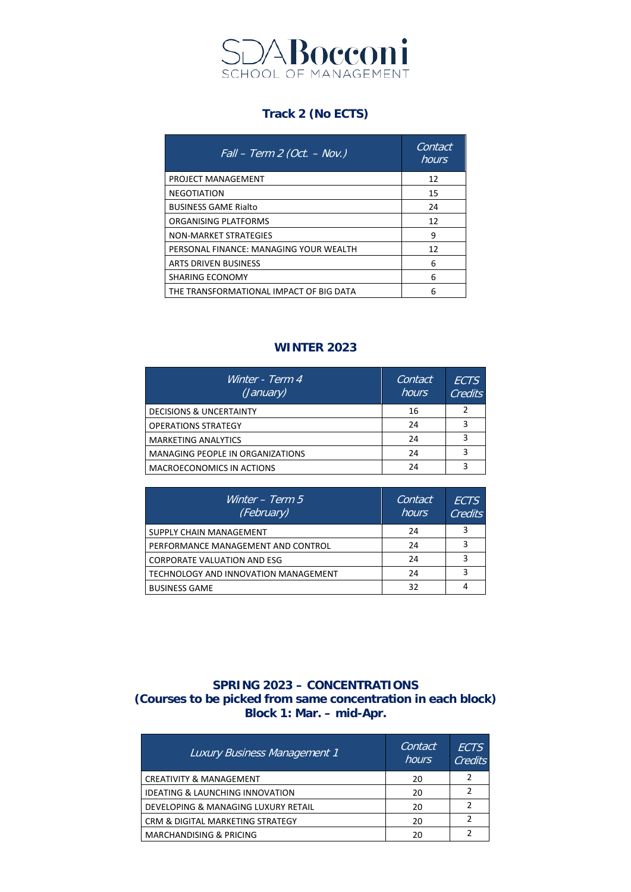

# **Track 2 (No ECTS)**

| $Fall - Term 2 (Oct. - Nov.)$           | Contact<br>hours |
|-----------------------------------------|------------------|
| PROJECT MANAGEMENT                      | 12               |
| <b>NEGOTIATION</b>                      | 15               |
| <b>BUSINESS GAME Rialto</b>             | 24               |
| ORGANISING PLATFORMS                    | 12               |
| NON-MARKET STRATEGIES                   | 9                |
| PERSONAL FINANCE: MANAGING YOUR WEALTH  | 12               |
| ARTS DRIVEN BUSINESS                    | 6                |
| SHARING ECONOMY                         | 6                |
| THE TRANSFORMATIONAL IMPACT OF BIG DATA | 6                |

# **WINTER 2023**

| Winter - Term 4<br>(January)            | Contact<br>hours | <b>FCTS</b><br><b>Credits</b> |
|-----------------------------------------|------------------|-------------------------------|
| <b>DECISIONS &amp; UNCERTAINTY</b>      | 16               |                               |
| <b>OPERATIONS STRATEGY</b>              | 24               | R                             |
| <b>MARKETING ANALYTICS</b>              | 24               |                               |
| <b>MANAGING PEOPLE IN ORGANIZATIONS</b> | 24               |                               |
| MACROECONOMICS IN ACTIONS               | 24               |                               |

| Winter $-$ Term 5<br>(February)      | Contact<br>hours | <b>FCTS</b><br>Credits |
|--------------------------------------|------------------|------------------------|
| SUPPLY CHAIN MANAGEMENT              | 24               |                        |
| PERFORMANCE MANAGEMENT AND CONTROL   | 24               |                        |
| <b>CORPORATE VALUATION AND ESG</b>   | 24               |                        |
| TECHNOLOGY AND INNOVATION MANAGEMENT | 24               |                        |
| <b>BUSINESS GAME</b>                 | 32               |                        |

## **SPRING 2023 – CONCENTRATIONS (Courses to be picked from same concentration in each block) Block 1: Mar. – mid-Apr.**

| <b>Luxury Business Management 1</b>        | Contact<br><b>hours</b> | <b>FCTS</b><br>Credits |
|--------------------------------------------|-------------------------|------------------------|
| <b>CREATIVITY &amp; MANAGEMENT</b>         | 20                      |                        |
| <b>IDEATING &amp; LAUNCHING INNOVATION</b> | 20                      |                        |
| DEVELOPING & MANAGING LUXURY RETAIL        | 20                      |                        |
| CRM & DIGITAL MARKETING STRATEGY           | 20                      |                        |
| <b>MARCHANDISING &amp; PRICING</b>         | 20                      |                        |